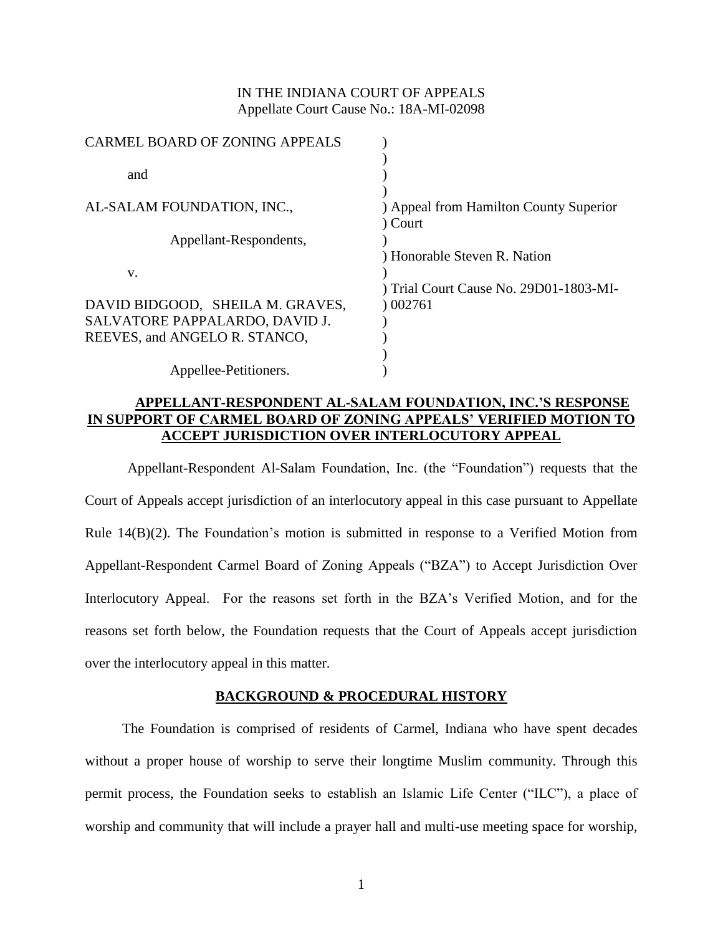## IN THE INDIANA COURT OF APPEALS Appellate Court Cause No.: 18A-MI-02098

| <b>CARMEL BOARD OF ZONING APPEALS</b> |                                        |
|---------------------------------------|----------------------------------------|
|                                       |                                        |
| and                                   |                                        |
|                                       |                                        |
| AL-SALAM FOUNDATION, INC.,            | ) Appeal from Hamilton County Superior |
|                                       | Court                                  |
| Appellant-Respondents,                |                                        |
|                                       | Honorable Steven R. Nation             |
| V.                                    |                                        |
|                                       | ) Trial Court Cause No. 29D01-1803-MI- |
| DAVID BIDGOOD, SHEILA M. GRAVES,      | 002761                                 |
| SALVATORE PAPPALARDO, DAVID J.        |                                        |
| REEVES, and ANGELO R. STANCO,         |                                        |
|                                       |                                        |
| Appellee-Petitioners.                 |                                        |
|                                       |                                        |

# **APPELLANT-RESPONDENT AL-SALAM FOUNDATION, INC.'S RESPONSE IN SUPPORT OF CARMEL BOARD OF ZONING APPEALS' VERIFIED MOTION TO ACCEPT JURISDICTION OVER INTERLOCUTORY APPEAL**

Appellant-Respondent Al-Salam Foundation, Inc. (the "Foundation") requests that the Court of Appeals accept jurisdiction of an interlocutory appeal in this case pursuant to Appellate Rule 14(B)(2). The Foundation's motion is submitted in response to a Verified Motion from Appellant-Respondent Carmel Board of Zoning Appeals ("BZA") to Accept Jurisdiction Over Interlocutory Appeal. For the reasons set forth in the BZA's Verified Motion, and for the reasons set forth below, the Foundation requests that the Court of Appeals accept jurisdiction over the interlocutory appeal in this matter.

## **BACKGROUND & PROCEDURAL HISTORY**

The Foundation is comprised of residents of Carmel, Indiana who have spent decades without a proper house of worship to serve their longtime Muslim community. Through this permit process, the Foundation seeks to establish an Islamic Life Center ("ILC"), a place of worship and community that will include a prayer hall and multi-use meeting space for worship,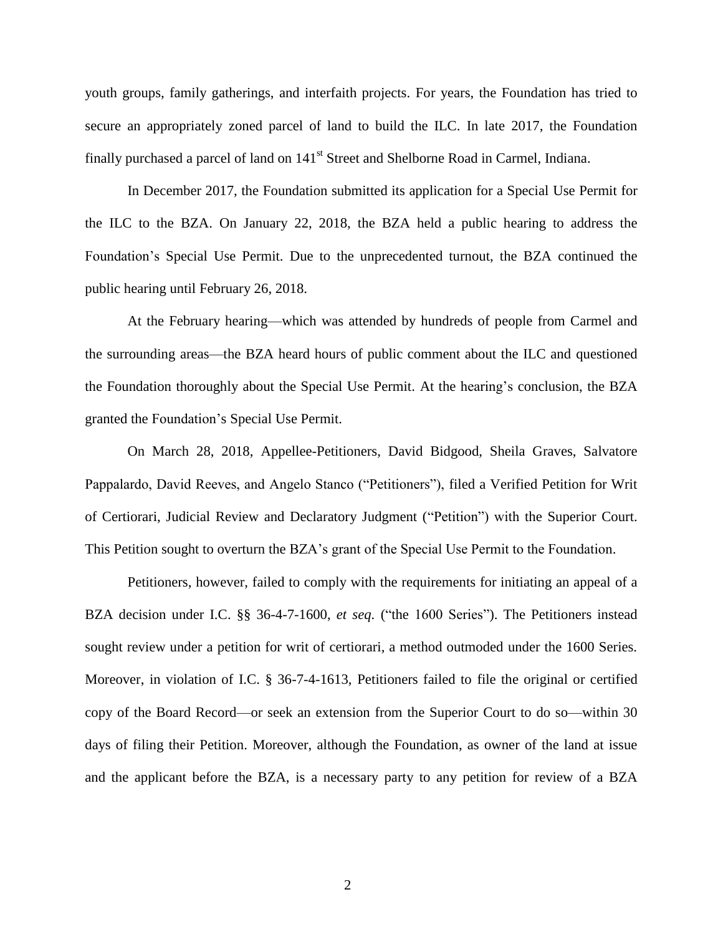youth groups, family gatherings, and interfaith projects. For years, the Foundation has tried to secure an appropriately zoned parcel of land to build the ILC. In late 2017, the Foundation finally purchased a parcel of land on  $141<sup>st</sup>$  Street and Shelborne Road in Carmel, Indiana.

In December 2017, the Foundation submitted its application for a Special Use Permit for the ILC to the BZA. On January 22, 2018, the BZA held a public hearing to address the Foundation's Special Use Permit. Due to the unprecedented turnout, the BZA continued the public hearing until February 26, 2018.

At the February hearing—which was attended by hundreds of people from Carmel and the surrounding areas—the BZA heard hours of public comment about the ILC and questioned the Foundation thoroughly about the Special Use Permit. At the hearing's conclusion, the BZA granted the Foundation's Special Use Permit.

On March 28, 2018, Appellee-Petitioners, David Bidgood, Sheila Graves, Salvatore Pappalardo, David Reeves, and Angelo Stanco ("Petitioners"), filed a Verified Petition for Writ of Certiorari, Judicial Review and Declaratory Judgment ("Petition") with the Superior Court. This Petition sought to overturn the BZA's grant of the Special Use Permit to the Foundation.

Petitioners, however, failed to comply with the requirements for initiating an appeal of a BZA decision under I.C. §§ 36-4-7-1600, *et seq.* ("the 1600 Series"). The Petitioners instead sought review under a petition for writ of certiorari, a method outmoded under the 1600 Series. Moreover, in violation of I.C. § 36-7-4-1613, Petitioners failed to file the original or certified copy of the Board Record—or seek an extension from the Superior Court to do so—within 30 days of filing their Petition. Moreover, although the Foundation, as owner of the land at issue and the applicant before the BZA, is a necessary party to any petition for review of a BZA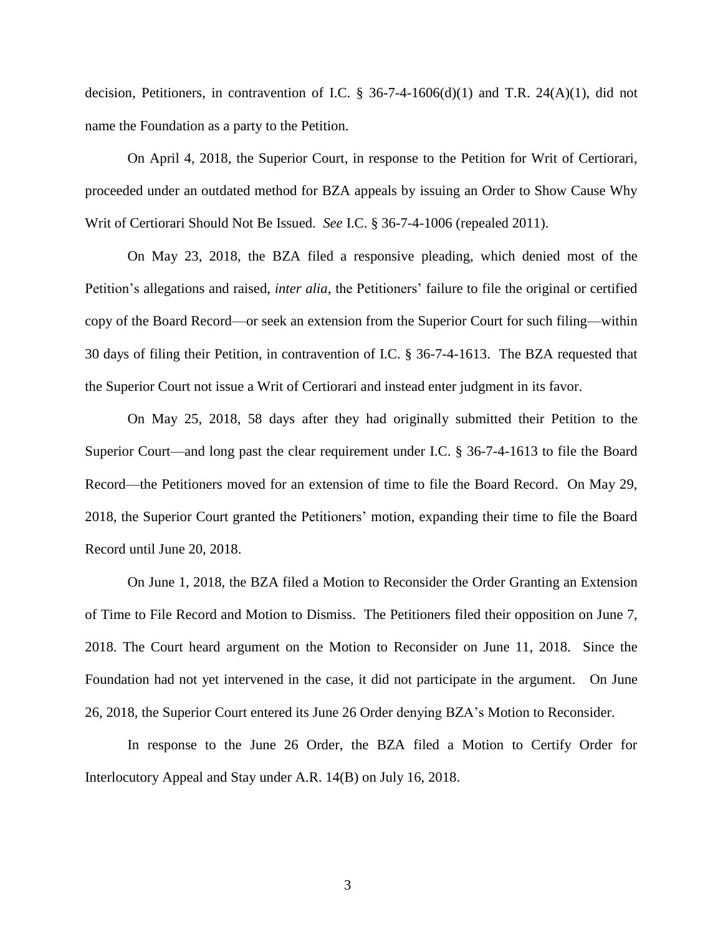decision, Petitioners, in contravention of I.C. § 36-7-4-1606(d)(1) and T.R. 24(A)(1), did not name the Foundation as a party to the Petition.

On April 4, 2018, the Superior Court, in response to the Petition for Writ of Certiorari, proceeded under an outdated method for BZA appeals by issuing an Order to Show Cause Why Writ of Certiorari Should Not Be Issued. *See* I.C. § 36-7-4-1006 (repealed 2011).

On May 23, 2018, the BZA filed a responsive pleading, which denied most of the Petition's allegations and raised, *inter alia*, the Petitioners' failure to file the original or certified copy of the Board Record—or seek an extension from the Superior Court for such filing—within 30 days of filing their Petition, in contravention of I.C. § 36-7-4-1613. The BZA requested that the Superior Court not issue a Writ of Certiorari and instead enter judgment in its favor.

On May 25, 2018, 58 days after they had originally submitted their Petition to the Superior Court—and long past the clear requirement under I.C. § 36-7-4-1613 to file the Board Record—the Petitioners moved for an extension of time to file the Board Record. On May 29, 2018, the Superior Court granted the Petitioners' motion, expanding their time to file the Board Record until June 20, 2018.

On June 1, 2018, the BZA filed a Motion to Reconsider the Order Granting an Extension of Time to File Record and Motion to Dismiss. The Petitioners filed their opposition on June 7, 2018. The Court heard argument on the Motion to Reconsider on June 11, 2018. Since the Foundation had not yet intervened in the case, it did not participate in the argument. On June 26, 2018, the Superior Court entered its June 26 Order denying BZA's Motion to Reconsider.

In response to the June 26 Order, the BZA filed a Motion to Certify Order for Interlocutory Appeal and Stay under A.R. 14(B) on July 16, 2018.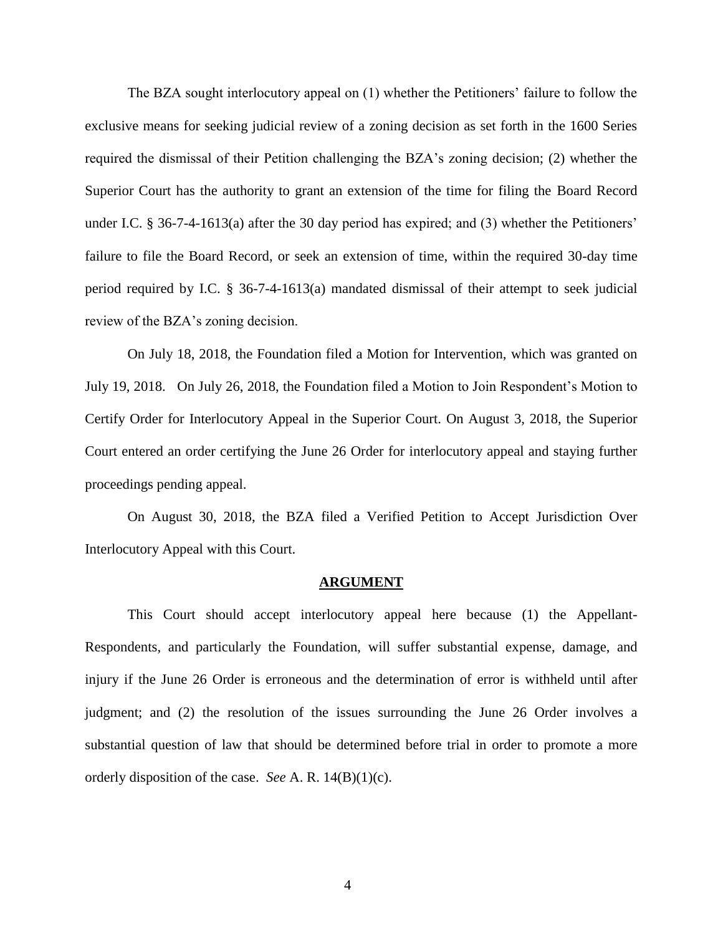The BZA sought interlocutory appeal on (1) whether the Petitioners' failure to follow the exclusive means for seeking judicial review of a zoning decision as set forth in the 1600 Series required the dismissal of their Petition challenging the BZA's zoning decision; (2) whether the Superior Court has the authority to grant an extension of the time for filing the Board Record under I.C. § 36-7-4-1613(a) after the 30 day period has expired; and (3) whether the Petitioners' failure to file the Board Record, or seek an extension of time, within the required 30-day time period required by I.C. § 36-7-4-1613(a) mandated dismissal of their attempt to seek judicial review of the BZA's zoning decision.

On July 18, 2018, the Foundation filed a Motion for Intervention, which was granted on July 19, 2018. On July 26, 2018, the Foundation filed a Motion to Join Respondent's Motion to Certify Order for Interlocutory Appeal in the Superior Court. On August 3, 2018, the Superior Court entered an order certifying the June 26 Order for interlocutory appeal and staying further proceedings pending appeal.

On August 30, 2018, the BZA filed a Verified Petition to Accept Jurisdiction Over Interlocutory Appeal with this Court.

#### **ARGUMENT**

This Court should accept interlocutory appeal here because (1) the Appellant-Respondents, and particularly the Foundation, will suffer substantial expense, damage, and injury if the June 26 Order is erroneous and the determination of error is withheld until after judgment; and (2) the resolution of the issues surrounding the June 26 Order involves a substantial question of law that should be determined before trial in order to promote a more orderly disposition of the case. *See* A. R. 14(B)(1)(c).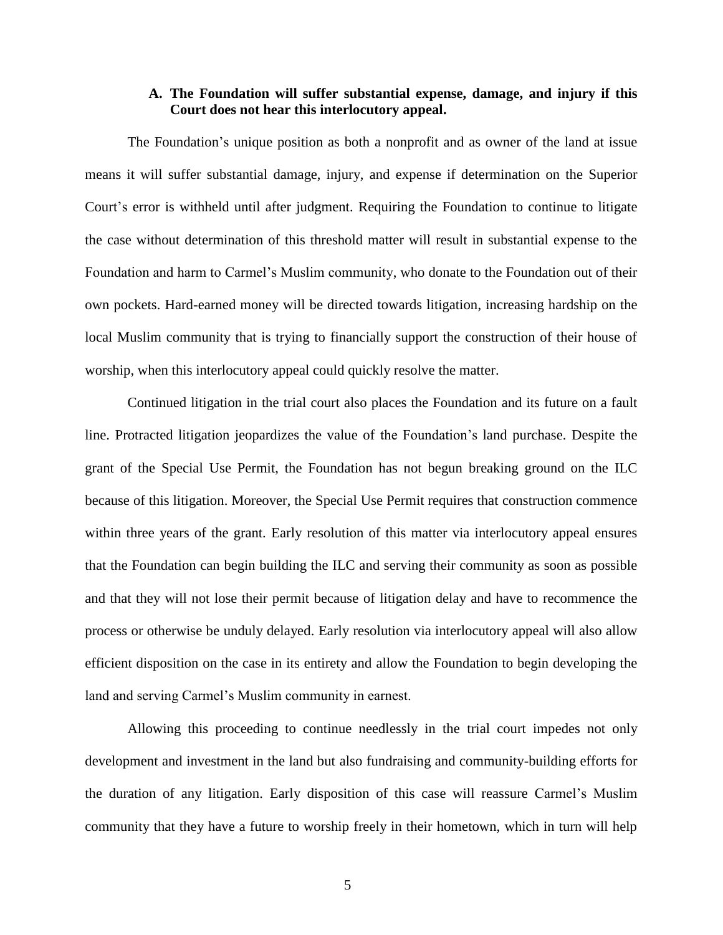## **A. The Foundation will suffer substantial expense, damage, and injury if this Court does not hear this interlocutory appeal.**

The Foundation's unique position as both a nonprofit and as owner of the land at issue means it will suffer substantial damage, injury, and expense if determination on the Superior Court's error is withheld until after judgment. Requiring the Foundation to continue to litigate the case without determination of this threshold matter will result in substantial expense to the Foundation and harm to Carmel's Muslim community, who donate to the Foundation out of their own pockets. Hard-earned money will be directed towards litigation, increasing hardship on the local Muslim community that is trying to financially support the construction of their house of worship, when this interlocutory appeal could quickly resolve the matter.

Continued litigation in the trial court also places the Foundation and its future on a fault line. Protracted litigation jeopardizes the value of the Foundation's land purchase. Despite the grant of the Special Use Permit, the Foundation has not begun breaking ground on the ILC because of this litigation. Moreover, the Special Use Permit requires that construction commence within three years of the grant. Early resolution of this matter via interlocutory appeal ensures that the Foundation can begin building the ILC and serving their community as soon as possible and that they will not lose their permit because of litigation delay and have to recommence the process or otherwise be unduly delayed. Early resolution via interlocutory appeal will also allow efficient disposition on the case in its entirety and allow the Foundation to begin developing the land and serving Carmel's Muslim community in earnest.

Allowing this proceeding to continue needlessly in the trial court impedes not only development and investment in the land but also fundraising and community-building efforts for the duration of any litigation. Early disposition of this case will reassure Carmel's Muslim community that they have a future to worship freely in their hometown, which in turn will help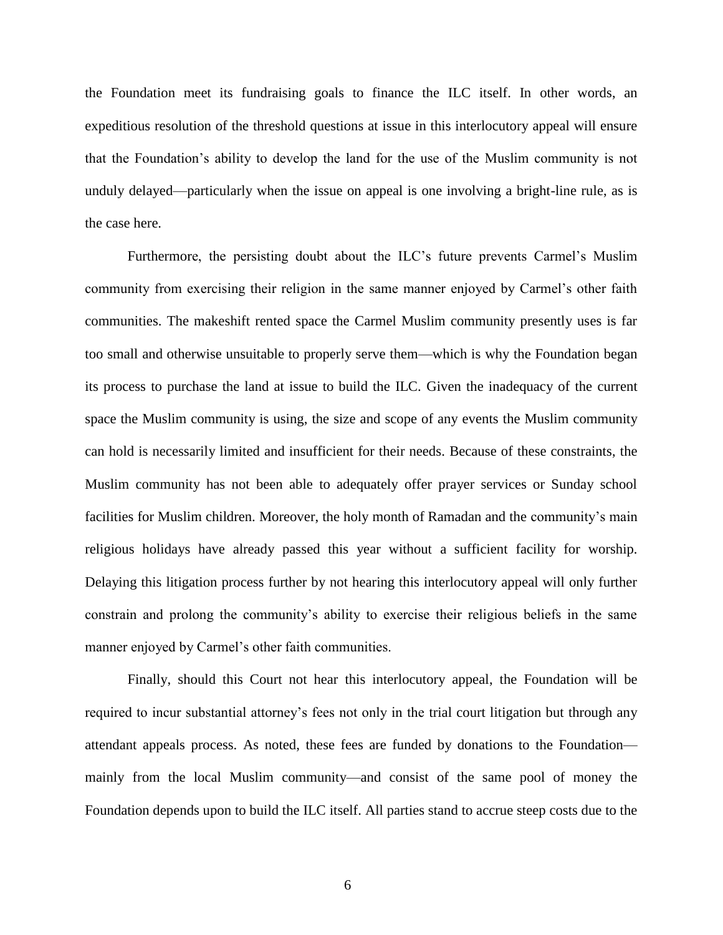the Foundation meet its fundraising goals to finance the ILC itself. In other words, an expeditious resolution of the threshold questions at issue in this interlocutory appeal will ensure that the Foundation's ability to develop the land for the use of the Muslim community is not unduly delayed—particularly when the issue on appeal is one involving a bright-line rule, as is the case here.

Furthermore, the persisting doubt about the ILC's future prevents Carmel's Muslim community from exercising their religion in the same manner enjoyed by Carmel's other faith communities. The makeshift rented space the Carmel Muslim community presently uses is far too small and otherwise unsuitable to properly serve them—which is why the Foundation began its process to purchase the land at issue to build the ILC. Given the inadequacy of the current space the Muslim community is using, the size and scope of any events the Muslim community can hold is necessarily limited and insufficient for their needs. Because of these constraints, the Muslim community has not been able to adequately offer prayer services or Sunday school facilities for Muslim children. Moreover, the holy month of Ramadan and the community's main religious holidays have already passed this year without a sufficient facility for worship. Delaying this litigation process further by not hearing this interlocutory appeal will only further constrain and prolong the community's ability to exercise their religious beliefs in the same manner enjoyed by Carmel's other faith communities.

Finally, should this Court not hear this interlocutory appeal, the Foundation will be required to incur substantial attorney's fees not only in the trial court litigation but through any attendant appeals process. As noted, these fees are funded by donations to the Foundation mainly from the local Muslim community—and consist of the same pool of money the Foundation depends upon to build the ILC itself. All parties stand to accrue steep costs due to the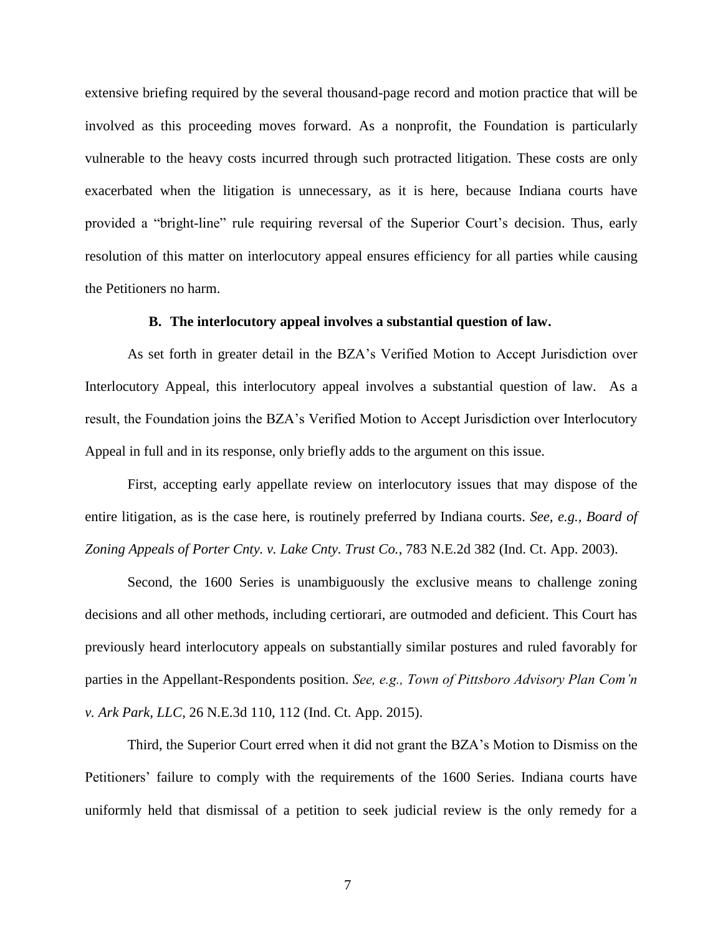extensive briefing required by the several thousand-page record and motion practice that will be involved as this proceeding moves forward. As a nonprofit, the Foundation is particularly vulnerable to the heavy costs incurred through such protracted litigation. These costs are only exacerbated when the litigation is unnecessary, as it is here, because Indiana courts have provided a "bright-line" rule requiring reversal of the Superior Court's decision. Thus, early resolution of this matter on interlocutory appeal ensures efficiency for all parties while causing the Petitioners no harm.

### **B. The interlocutory appeal involves a substantial question of law.**

As set forth in greater detail in the BZA's Verified Motion to Accept Jurisdiction over Interlocutory Appeal, this interlocutory appeal involves a substantial question of law. As a result, the Foundation joins the BZA's Verified Motion to Accept Jurisdiction over Interlocutory Appeal in full and in its response, only briefly adds to the argument on this issue.

First, accepting early appellate review on interlocutory issues that may dispose of the entire litigation, as is the case here, is routinely preferred by Indiana courts. *See, e.g., Board of Zoning Appeals of Porter Cnty. v. Lake Cnty. Trust Co.*, 783 N.E.2d 382 (Ind. Ct. App. 2003).

Second, the 1600 Series is unambiguously the exclusive means to challenge zoning decisions and all other methods, including certiorari, are outmoded and deficient. This Court has previously heard interlocutory appeals on substantially similar postures and ruled favorably for parties in the Appellant-Respondents position. *See, e.g., Town of Pittsboro Advisory Plan Com'n v. Ark Park, LLC*, 26 N.E.3d 110, 112 (Ind. Ct. App. 2015).

Third, the Superior Court erred when it did not grant the BZA's Motion to Dismiss on the Petitioners' failure to comply with the requirements of the 1600 Series. Indiana courts have uniformly held that dismissal of a petition to seek judicial review is the only remedy for a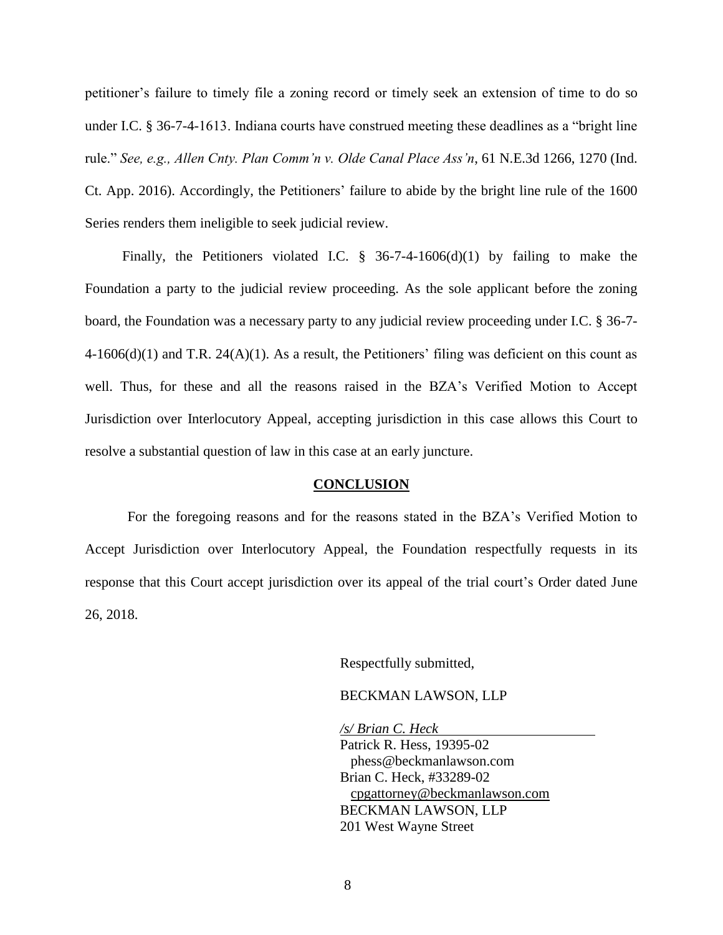petitioner's failure to timely file a zoning record or timely seek an extension of time to do so under I.C. § 36-7-4-1613. Indiana courts have construed meeting these deadlines as a "bright line rule." *See, e.g., Allen Cnty. Plan Comm'n v. Olde Canal Place Ass'n*, 61 N.E.3d 1266, 1270 (Ind. Ct. App. 2016). Accordingly, the Petitioners' failure to abide by the bright line rule of the 1600 Series renders them ineligible to seek judicial review.

Finally, the Petitioners violated I.C.  $\S$  36-7-4-1606(d)(1) by failing to make the Foundation a party to the judicial review proceeding. As the sole applicant before the zoning board, the Foundation was a necessary party to any judicial review proceeding under I.C. § 36-7-  $4\n-1606(d)(1)$  and T.R.  $24(A)(1)$ . As a result, the Petitioners' filing was deficient on this count as well. Thus, for these and all the reasons raised in the BZA's Verified Motion to Accept Jurisdiction over Interlocutory Appeal, accepting jurisdiction in this case allows this Court to resolve a substantial question of law in this case at an early juncture.

#### **CONCLUSION**

For the foregoing reasons and for the reasons stated in the BZA's Verified Motion to Accept Jurisdiction over Interlocutory Appeal, the Foundation respectfully requests in its response that this Court accept jurisdiction over its appeal of the trial court's Order dated June 26, 2018.

Respectfully submitted,

### BECKMAN LAWSON, LLP

*/s/ Brian C. Heck* Patrick R. Hess, 19395-02 phess@beckmanlawson.com Brian C. Heck, #33289-02 [cpgattorney@beckmanlawson.com](mailto:cpgattorney@beckmanlawson.com) BECKMAN LAWSON, LLP 201 West Wayne Street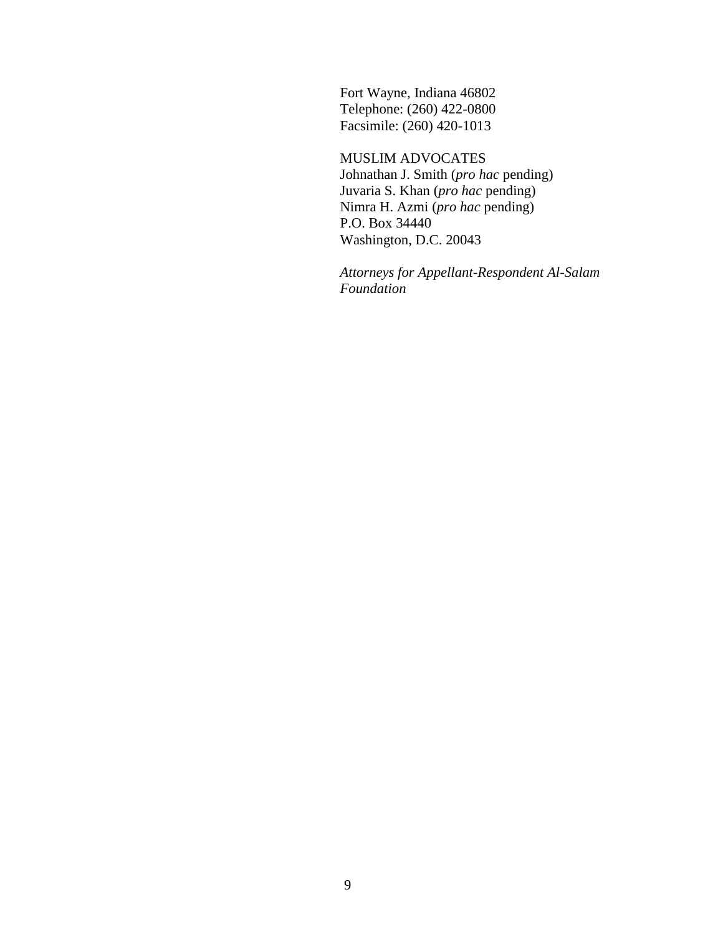Fort Wayne, Indiana 46802 Telephone: (260) 422-0800 Facsimile: (260) 420-1013

MUSLIM ADVOCATES Johnathan J. Smith (*pro hac* pending) Juvaria S. Khan (*pro hac* pending) Nimra H. Azmi (*pro hac* pending) P.O. Box 34440 Washington, D.C. 20043

*Attorneys for Appellant-Respondent Al-Salam Foundation*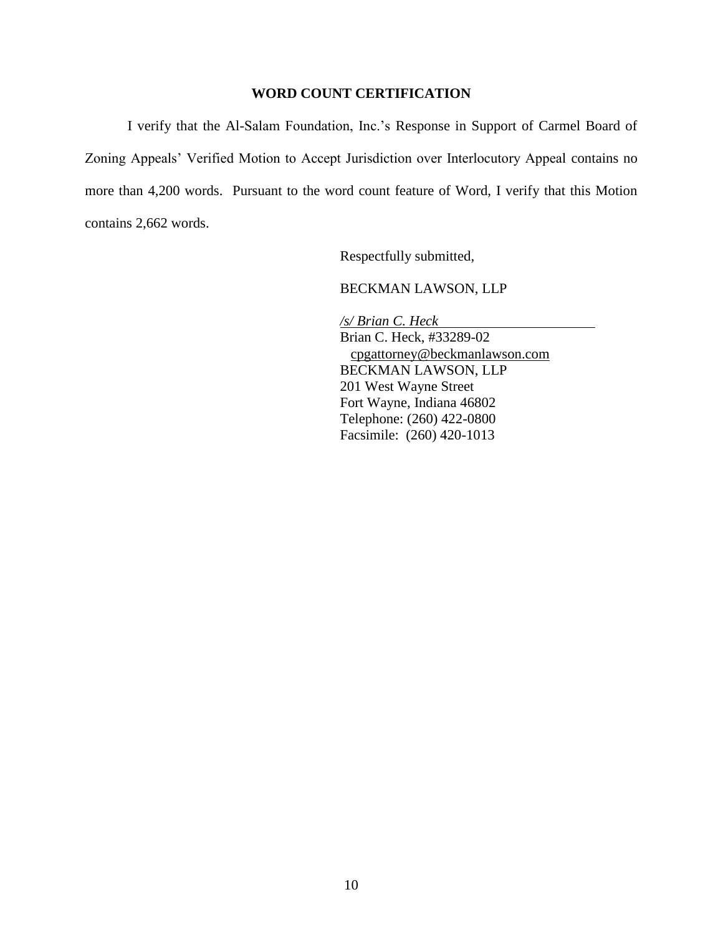# **WORD COUNT CERTIFICATION**

I verify that the Al-Salam Foundation, Inc.'s Response in Support of Carmel Board of Zoning Appeals' Verified Motion to Accept Jurisdiction over Interlocutory Appeal contains no more than 4,200 words. Pursuant to the word count feature of Word, I verify that this Motion contains 2,662 words.

Respectfully submitted,

BECKMAN LAWSON, LLP

*/s/ Brian C. Heck* Brian C. Heck, #33289-02 [cpgattorney@beckmanlawson.com](mailto:cpgattorney@beckmanlawson.com) BECKMAN LAWSON, LLP 201 West Wayne Street Fort Wayne, Indiana 46802 Telephone: (260) 422-0800 Facsimile: (260) 420-1013